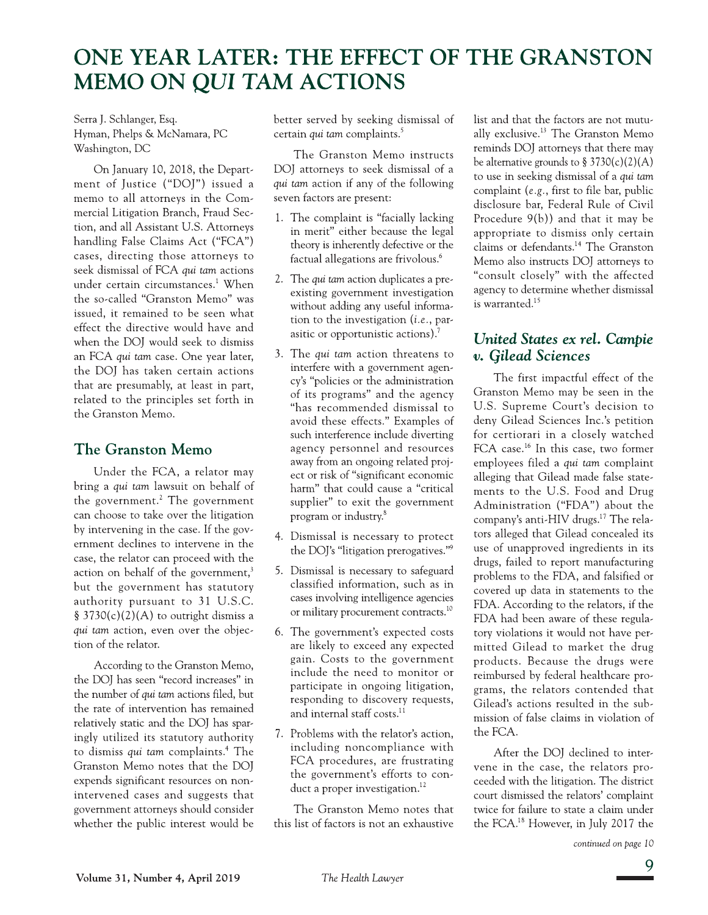# ONE YEAR LATER: THE EFFECT OF THE GRANSTON MEMO ON QUI TAM ACTIONS

Serra J. Schlanger, Esq. Hyman, Phelps & McNamara, PC Washington, DC

On January 10, 2018, the Department of Justice ("DOJ") issued a memo to all attorneys in the Commercial Litigation Branch, Fraud Section, and all Assistant U.S. Attorneys handling False Claims Act ("FCA") cases, directing those attorneys to seek dismissal of FCA qui tam actions under certain circumstances.<sup>1</sup> When the so-called "Granston Memo" was issued, it remained to be seen what effect the directive would have and when the DOJ would seek to dismiss an FCA qui tam case. One year later, the DOJ has taken certain actions that are presumably, at least in part, related to the principles set forth in the Granston Memo.

# **The Granston Memo**

Under the FCA, a relator may bring a qui tam lawsuit on behalf of the government.<sup>2</sup> The government can choose to take over the litigation by intervening in the case. If the government declines to intervene in the case, the relator can proceed with the action on behalf of the government,<sup>3</sup> but the government has statutory authority pursuant to 31 U.S.C. § 3730(c)(2)(A) to outright dismiss a qui tam action, even over the objection of the relator.

According to the Granston Memo, the DOJ has seen "record increases" in the number of *qui tam* actions filed, but the rate of intervention has remained relatively static and the DOJ has sparingly utilized its statutory authority to dismiss qui tam complaints.<sup>4</sup> The Granston Memo notes that the DOI expends significant resources on nonintervened cases and suggests that government attorneys should consider whether the public interest would be

better served by seeking dismissal of certain qui tam complaints.<sup>5</sup>

The Granston Memo instructs DOJ attorneys to seek dismissal of a qui tam action if any of the following seven factors are present:

- 1. The complaint is "facially lacking" in merit" either because the legal theory is inherently defective or the factual allegations are frivolous.<sup>6</sup>
- 2. The qui tam action duplicates a preexisting government investigation without adding any useful information to the investigation  $(i.e., par$ asitic or opportunistic actions).<sup>7</sup>
- 3. The *qui tam* action threatens to interfere with a government agency's "policies or the administration of its programs" and the agency "has recommended dismissal to avoid these effects." Examples of such interference include diverting agency personnel and resources away from an ongoing related project or risk of "significant economic harm" that could cause a "critical supplier" to exit the government program or industry.<sup>8</sup>
- 4. Dismissal is necessary to protect the DOJ's "litigation prerogatives."<sup>9</sup>
- 5. Dismissal is necessary to safeguard classified information, such as in cases involving intelligence agencies or military procurement contracts.<sup>10</sup>
- 6. The government's expected costs are likely to exceed any expected gain. Costs to the government include the need to monitor or participate in ongoing litigation, responding to discovery requests, and internal staff costs.<sup>11</sup>
- 7. Problems with the relator's action, including noncompliance with FCA procedures, are frustrating the government's efforts to conduct a proper investigation.<sup>12</sup>

The Granston Memo notes that this list of factors is not an exhaustive

list and that the factors are not mutually exclusive.<sup>13</sup> The Granston Memo reminds DOJ attorneys that there may be alternative grounds to  $\S 3730(c)(2)(A)$ to use in seeking dismissal of a qui tam complaint (e.g., first to file bar, public disclosure bar, Federal Rule of Civil Procedure  $9(b)$ ) and that it may be appropriate to dismiss only certain claims or defendants.<sup>14</sup> The Granston Memo also instructs DOJ attorneys to "consult closely" with the affected agency to determine whether dismissal is warranted.<sup>15</sup>

# United States ex rel. Campie v. Gilead Sciences

The first impactful effect of the Granston Memo may be seen in the U.S. Supreme Court's decision to deny Gilead Sciences Inc.'s petition for certiorari in a closely watched FCA case.<sup>16</sup> In this case, two former employees filed a qui tam complaint alleging that Gilead made false statements to the U.S. Food and Drug Administration ("FDA") about the company's anti-HIV drugs.<sup>17</sup> The relators alleged that Gilead concealed its use of unapproved ingredients in its drugs, failed to report manufacturing problems to the FDA, and falsified or covered up data in statements to the FDA. According to the relators, if the FDA had been aware of these regulatory violations it would not have permitted Gilead to market the drug products. Because the drugs were reimbursed by federal healthcare programs, the relators contended that Gilead's actions resulted in the submission of false claims in violation of the FCA.

After the DOJ declined to intervene in the case, the relators proceeded with the litigation. The district court dismissed the relators' complaint twice for failure to state a claim under the FCA.<sup>18</sup> However, in July 2017 the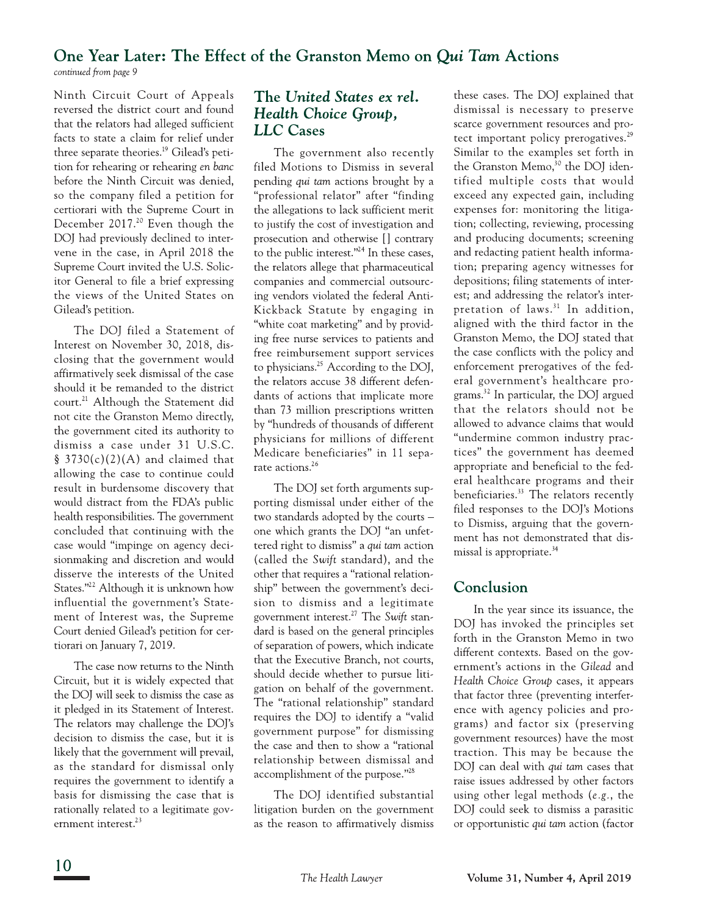### One Year Later: The Effect of the Granston Memo on Qui Tam Actions continued from page 9

Ninth Circuit Court of Appeals reversed the district court and found that the relators had alleged sufficient facts to state a claim for relief under three separate theories.<sup>19</sup> Gilead's petition for rehearing or rehearing en banc before the Ninth Circuit was denied, so the company filed a petition for certiorari with the Supreme Court in December 2017.<sup>20</sup> Even though the DOJ had previously declined to intervene in the case, in April 2018 the Supreme Court invited the U.S. Solicitor General to file a brief expressing the views of the United States on Gilead's petition.

The DOJ filed a Statement of Interest on November 30, 2018, disclosing that the government would affirmatively seek dismissal of the case should it be remanded to the district court.<sup>21</sup> Although the Statement did not cite the Granston Memo directly, the government cited its authority to dismiss a case under 31 U.S.C. § 3730(c)(2)(A) and claimed that allowing the case to continue could result in burdensome discovery that would distract from the FDA's public health responsibilities. The government concluded that continuing with the case would "impinge on agency decisionmaking and discretion and would disserve the interests of the United States."<sup>22</sup> Although it is unknown how influential the government's Statement of Interest was, the Supreme Court denied Gilead's petition for certiorari on January 7, 2019.

The case now returns to the Ninth Circuit, but it is widely expected that the DOJ will seek to dismiss the case as it pledged in its Statement of Interest. The relators may challenge the DOJ's decision to dismiss the case, but it is likely that the government will prevail, as the standard for dismissal only requires the government to identify a basis for dismissing the case that is rationally related to a legitimate government interest.<sup>23</sup>

### The United States ex rel. Health Choice Group, **LLC** Cases

The government also recently filed Motions to Dismiss in several pending qui tam actions brought by a "professional relator" after "finding the allegations to lack sufficient merit to justify the cost of investigation and prosecution and otherwise [] contrary to the public interest."<sup>24</sup> In these cases, the relators allege that pharmaceutical companies and commercial outsourcing vendors violated the federal Anti-Kickback Statute by engaging in "white coat marketing" and by providing free nurse services to patients and free reimbursement support services to physicians.<sup>25</sup> According to the DOJ, the relators accuse 38 different defendants of actions that implicate more than 73 million prescriptions written by "hundreds of thousands of different physicians for millions of different Medicare beneficiaries" in 11 separate actions.<sup>26</sup>

The DOJ set forth arguments supporting dismissal under either of the two standards adopted by the courts one which grants the DOJ "an unfettered right to dismiss" a qui tam action (called the Swift standard), and the other that requires a "rational relationship" between the government's decision to dismiss and a legitimate government interest.<sup>27</sup> The Swift standard is based on the general principles of separation of powers, which indicate that the Executive Branch, not courts, should decide whether to pursue litigation on behalf of the government. The "rational relationship" standard requires the DOJ to identify a "valid government purpose" for dismissing the case and then to show a "rational relationship between dismissal and accomplishment of the purpose."<sup>28</sup>

The DOJ identified substantial litigation burden on the government as the reason to affirmatively dismiss these cases. The DOJ explained that dismissal is necessary to preserve scarce government resources and protect important policy prerogatives.<sup>29</sup> Similar to the examples set forth in the Granston Memo,<sup>30</sup> the DOJ identified multiple costs that would exceed any expected gain, including expenses for: monitoring the litigation; collecting, reviewing, processing and producing documents; screening and redacting patient health information; preparing agency witnesses for depositions; filing statements of interest; and addressing the relator's interpretation of laws.<sup>31</sup> In addition, aligned with the third factor in the Granston Memo, the DOJ stated that the case conflicts with the policy and enforcement prerogatives of the federal government's healthcare programs.<sup>32</sup> In particular, the DOJ argued that the relators should not be allowed to advance claims that would "undermine common industry practices" the government has deemed appropriate and beneficial to the federal healthcare programs and their beneficiaries.<sup>33</sup> The relators recently filed responses to the DOJ's Motions to Dismiss, arguing that the government has not demonstrated that dismissal is appropriate.<sup>34</sup>

### Conclusion

In the year since its issuance, the DOJ has invoked the principles set forth in the Granston Memo in two different contexts. Based on the government's actions in the Gilead and Health Choice Group cases, it appears that factor three (preventing interference with agency policies and programs) and factor six (preserving government resources) have the most traction. This may be because the DOJ can deal with *qui tam* cases that raise issues addressed by other factors using other legal methods (e.g., the DOI could seek to dismiss a parasitic or opportunistic qui tam action (factor